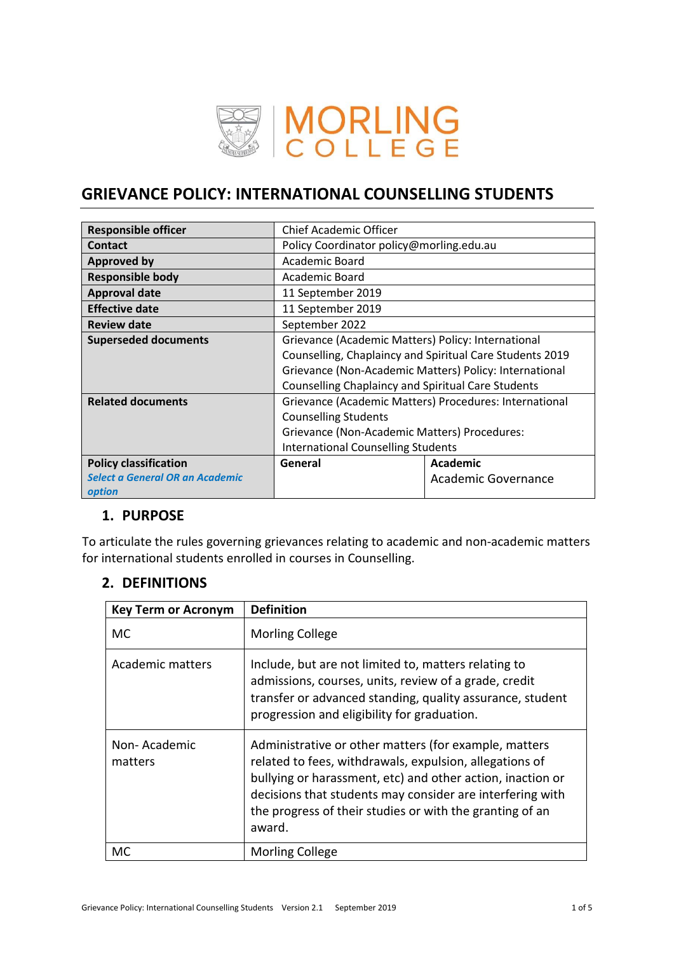

# **GRIEVANCE POLICY: INTERNATIONAL COUNSELLING STUDENTS**

| <b>Responsible officer</b>                | <b>Chief Academic Officer</b>                             |                            |  |
|-------------------------------------------|-----------------------------------------------------------|----------------------------|--|
| <b>Contact</b>                            | Policy Coordinator policy@morling.edu.au                  |                            |  |
| <b>Approved by</b>                        | Academic Board                                            |                            |  |
| <b>Responsible body</b>                   | Academic Board                                            |                            |  |
| <b>Approval date</b>                      | 11 September 2019                                         |                            |  |
| <b>Effective date</b>                     | 11 September 2019                                         |                            |  |
| <b>Review date</b>                        | September 2022                                            |                            |  |
| <b>Superseded documents</b>               | Grievance (Academic Matters) Policy: International        |                            |  |
|                                           | Counselling, Chaplaincy and Spiritual Care Students 2019  |                            |  |
|                                           | Grievance (Non-Academic Matters) Policy: International    |                            |  |
|                                           | <b>Counselling Chaplaincy and Spiritual Care Students</b> |                            |  |
| <b>Related documents</b>                  | Grievance (Academic Matters) Procedures: International    |                            |  |
|                                           | <b>Counselling Students</b>                               |                            |  |
|                                           | Grievance (Non-Academic Matters) Procedures:              |                            |  |
|                                           | <b>International Counselling Students</b>                 |                            |  |
| <b>Policy classification</b>              | General                                                   | Academic                   |  |
| Select a General OR an Academic<br>option |                                                           | <b>Academic Governance</b> |  |

# **1. PURPOSE**

To articulate the rules governing grievances relating to academic and non-academic matters for international students enrolled in courses in Counselling.

# **2. DEFINITIONS**

| <b>Key Term or Acronym</b> | <b>Definition</b>                                                                                                                                                                                                                                                                                                 |
|----------------------------|-------------------------------------------------------------------------------------------------------------------------------------------------------------------------------------------------------------------------------------------------------------------------------------------------------------------|
| МC                         | <b>Morling College</b>                                                                                                                                                                                                                                                                                            |
| Academic matters           | Include, but are not limited to, matters relating to<br>admissions, courses, units, review of a grade, credit<br>transfer or advanced standing, quality assurance, student<br>progression and eligibility for graduation.                                                                                         |
| Non-Academic<br>matters    | Administrative or other matters (for example, matters<br>related to fees, withdrawals, expulsion, allegations of<br>bullying or harassment, etc) and other action, inaction or<br>decisions that students may consider are interfering with<br>the progress of their studies or with the granting of an<br>award. |
| МC                         | <b>Morling College</b>                                                                                                                                                                                                                                                                                            |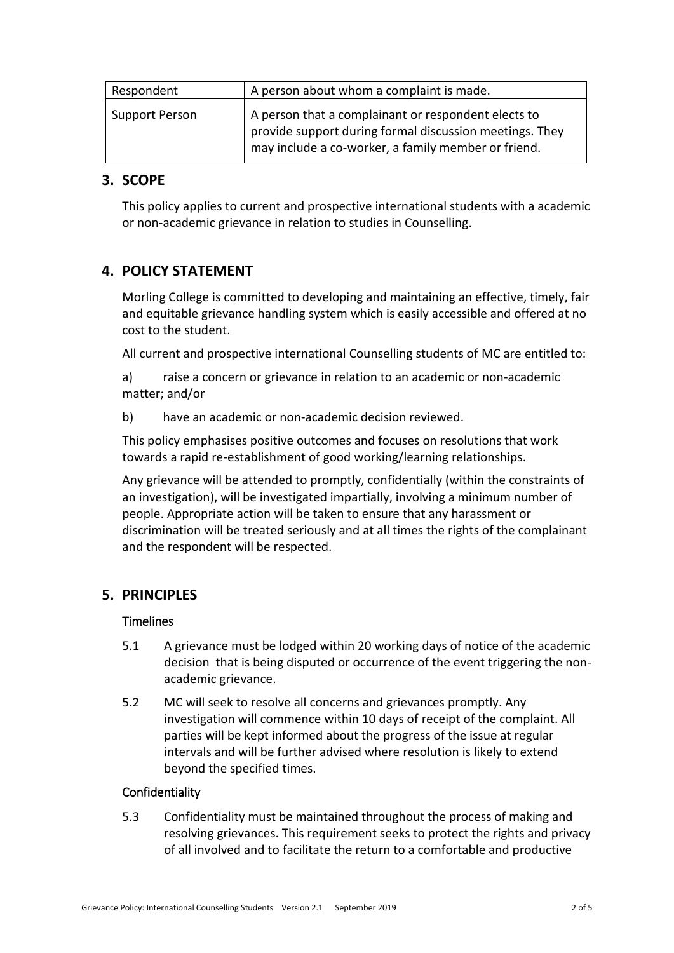| Respondent     | A person about whom a complaint is made.                                                                                                                              |  |
|----------------|-----------------------------------------------------------------------------------------------------------------------------------------------------------------------|--|
| Support Person | A person that a complainant or respondent elects to<br>provide support during formal discussion meetings. They<br>may include a co-worker, a family member or friend. |  |

## **3. SCOPE**

This policy applies to current and prospective international students with a academic or non-academic grievance in relation to studies in Counselling.

# **4. POLICY STATEMENT**

Morling College is committed to developing and maintaining an effective, timely, fair and equitable grievance handling system which is easily accessible and offered at no cost to the student.

All current and prospective international Counselling students of MC are entitled to:

a) raise a concern or grievance in relation to an academic or non-academic matter; and/or

b) have an academic or non-academic decision reviewed.

This policy emphasises positive outcomes and focuses on resolutions that work towards a rapid re-establishment of good working/learning relationships.

Any grievance will be attended to promptly, confidentially (within the constraints of an investigation), will be investigated impartially, involving a minimum number of people. Appropriate action will be taken to ensure that any harassment or discrimination will be treated seriously and at all times the rights of the complainant and the respondent will be respected.

# **5. PRINCIPLES**

## **Timelines**

- 5.1 A grievance must be lodged within 20 working days of notice of the academic decision that is being disputed or occurrence of the event triggering the nonacademic grievance.
- 5.2 MC will seek to resolve all concerns and grievances promptly. Any investigation will commence within 10 days of receipt of the complaint. All parties will be kept informed about the progress of the issue at regular intervals and will be further advised where resolution is likely to extend beyond the specified times.

## Confidentiality

5.3 Confidentiality must be maintained throughout the process of making and resolving grievances. This requirement seeks to protect the rights and privacy of all involved and to facilitate the return to a comfortable and productive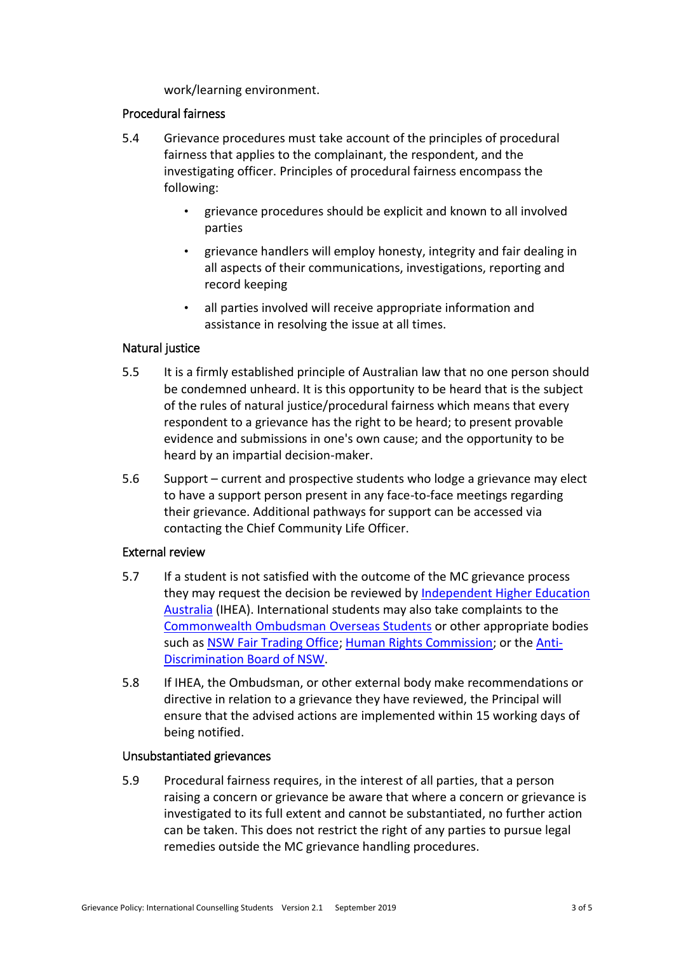work/learning environment.

#### Procedural fairness

- 5.4 Grievance procedures must take account of the principles of procedural fairness that applies to the complainant, the respondent, and the investigating officer. Principles of procedural fairness encompass the following:
	- grievance procedures should be explicit and known to all involved parties
	- grievance handlers will employ honesty, integrity and fair dealing in all aspects of their communications, investigations, reporting and record keeping
	- all parties involved will receive appropriate information and assistance in resolving the issue at all times.

## Natural justice

- 5.5 It is a firmly established principle of Australian law that no one person should be condemned unheard. It is this opportunity to be heard that is the subject of the rules of natural justice/procedural fairness which means that every respondent to a grievance has the right to be heard; to present provable evidence and submissions in one's own cause; and the opportunity to be heard by an impartial decision-maker.
- 5.6 Support current and prospective students who lodge a grievance may elect to have a support person present in any face-to-face meetings regarding their grievance. Additional pathways for support can be accessed via contacting the Chief Community Life Officer.

## External review

- 5.7 If a student is not satisfied with the outcome of the MC grievance process they may request the decision be reviewed by [Independent Higher Education](https://ihea.edu.au/)  [Australia](https://ihea.edu.au/) (IHEA). International students may also take complaints to the [Commonwealth Ombudsman](https://www.ombudsman.gov.au/How-we-can-help/overseas-students) Overseas Students or other appropriate bodies such as [NSW Fair Trading Office;](https://www.fairtrading.nsw.gov.au/) [Human Rights Commission;](https://www.humanrights.gov.au/) or the [Anti-](http://www.antidiscrimination.justice.nsw.gov.au/Pages/adb1_makingacomplaint/adb1_makingacomplaint.aspx)[Discrimination Board of NSW.](http://www.antidiscrimination.justice.nsw.gov.au/Pages/adb1_makingacomplaint/adb1_makingacomplaint.aspx)
- 5.8 If IHEA, the Ombudsman, or other external body make recommendations or directive in relation to a grievance they have reviewed, the Principal will ensure that the advised actions are implemented within 15 working days of being notified.

#### Unsubstantiated grievances

5.9 Procedural fairness requires, in the interest of all parties, that a person raising a concern or grievance be aware that where a concern or grievance is investigated to its full extent and cannot be substantiated, no further action can be taken. This does not restrict the right of any parties to pursue legal remedies outside the MC grievance handling procedures.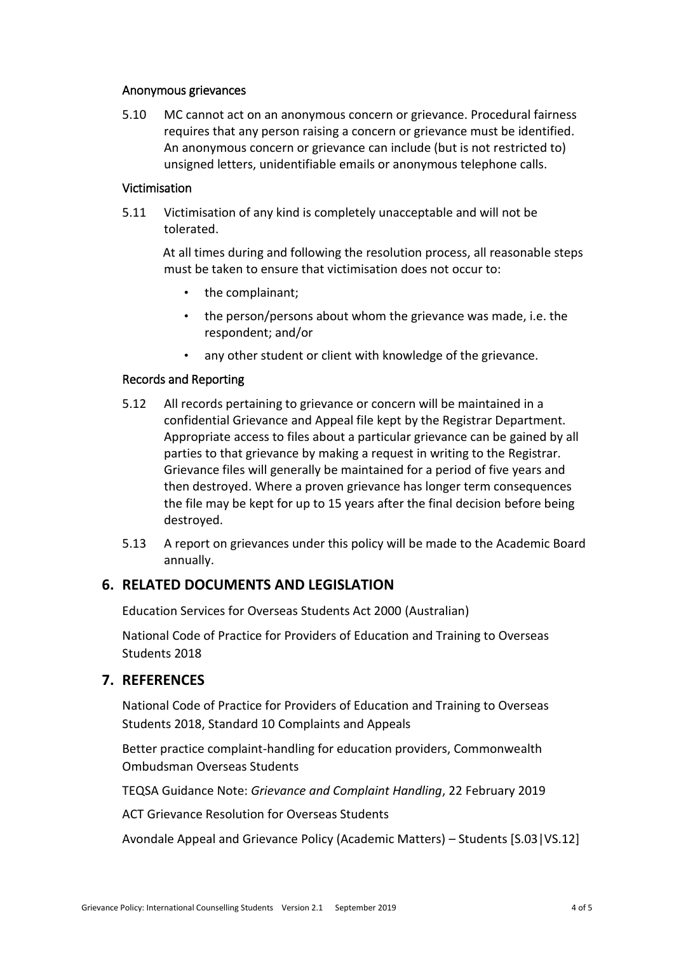#### Anonymous grievances

5.10 MC cannot act on an anonymous concern or grievance. Procedural fairness requires that any person raising a concern or grievance must be identified. An anonymous concern or grievance can include (but is not restricted to) unsigned letters, unidentifiable emails or anonymous telephone calls.

#### Victimisation

5.11 Victimisation of any kind is completely unacceptable and will not be tolerated.

At all times during and following the resolution process, all reasonable steps must be taken to ensure that victimisation does not occur to:

- the complainant;
- the person/persons about whom the grievance was made, i.e. the respondent; and/or
- any other student or client with knowledge of the grievance.

#### Records and Reporting

- 5.12 All records pertaining to grievance or concern will be maintained in a confidential Grievance and Appeal file kept by the Registrar Department. Appropriate access to files about a particular grievance can be gained by all parties to that grievance by making a request in writing to the Registrar. Grievance files will generally be maintained for a period of five years and then destroyed. Where a proven grievance has longer term consequences the file may be kept for up to 15 years after the final decision before being destroyed.
- 5.13 A report on grievances under this policy will be made to the Academic Board annually.

## **6. RELATED DOCUMENTS AND LEGISLATION**

Education Services for Overseas Students Act 2000 (Australian)

National Code of Practice for Providers of Education and Training to Overseas Students 2018

## **7. REFERENCES**

National Code of Practice for Providers of Education and Training to Overseas Students 2018, Standard 10 Complaints and Appeals

Better practice complaint-handling for education providers, Commonwealth Ombudsman Overseas Students

TEQSA Guidance Note: *Grievance and Complaint Handling*, 22 February 2019

ACT Grievance Resolution for Overseas Students

Avondale Appeal and Grievance Policy (Academic Matters) – Students [S.03|VS.12]